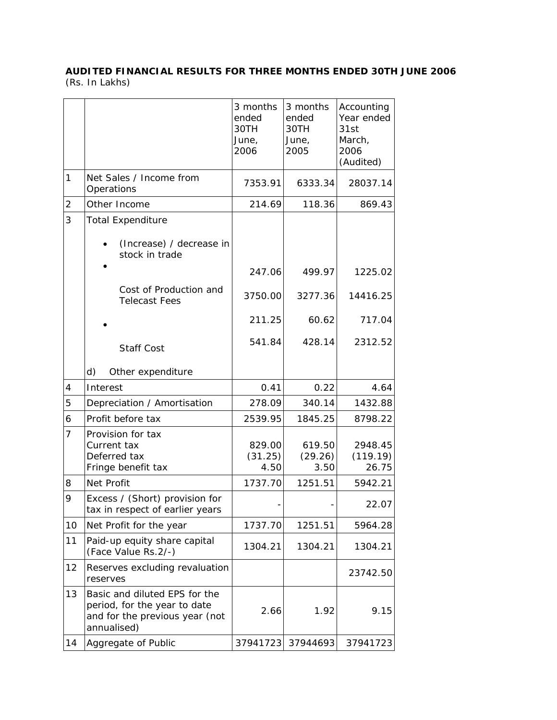## **AUDITED FINANCIAL RESULTS FOR THREE MONTHS ENDED 30TH JUNE 2006**  (Rs. In Lakhs)

|                |                                                                                                                | 3 months<br>ended<br>30TH<br>June,<br>2006 | 3 months<br>ended<br>30TH<br>June,<br>2005 | Accounting<br>Year ended<br>31st<br>March,<br>2006<br>(Audited) |
|----------------|----------------------------------------------------------------------------------------------------------------|--------------------------------------------|--------------------------------------------|-----------------------------------------------------------------|
| 1              | Net Sales / Income from<br>Operations                                                                          | 7353.91                                    | 6333.34                                    | 28037.14                                                        |
| $\overline{2}$ | Other Income                                                                                                   | 214.69                                     | 118.36                                     | 869.43                                                          |
| 3              | <b>Total Expenditure</b><br>(Increase) / decrease in<br>stock in trade                                         |                                            |                                            |                                                                 |
|                |                                                                                                                | 247.06                                     | 499.97                                     | 1225.02                                                         |
|                | Cost of Production and<br><b>Telecast Fees</b>                                                                 | 3750.00                                    | 3277.36                                    | 14416.25                                                        |
|                |                                                                                                                | 211.25                                     | 60.62                                      | 717.04                                                          |
|                | <b>Staff Cost</b>                                                                                              | 541.84                                     | 428.14                                     | 2312.52                                                         |
|                | d)<br>Other expenditure                                                                                        |                                            |                                            |                                                                 |
| 4              | Interest                                                                                                       | 0.41                                       | 0.22                                       | 4.64                                                            |
| 5              | Depreciation / Amortisation                                                                                    | 278.09                                     | 340.14                                     | 1432.88                                                         |
| 6              | Profit before tax                                                                                              | 2539.95                                    | 1845.25                                    | 8798.22                                                         |
| $\overline{7}$ | Provision for tax<br>Current tax<br>Deferred tax<br>Fringe benefit tax                                         | 829.00<br>(31.25)<br>4.50                  | 619.50<br>(29.26)<br>3.50                  | 2948.45<br>(119.19)<br>26.75                                    |
| 8              | Net Profit                                                                                                     | 1737.70                                    | 1251.51                                    | 5942.21                                                         |
| 9              | Excess / (Short) provision for<br>tax in respect of earlier years                                              |                                            |                                            | 22.07                                                           |
| 10             | Net Profit for the year                                                                                        | 1737.70                                    | 1251.51                                    | 5964.28                                                         |
| 11             | Paid-up equity share capital<br>(Face Value Rs.2/-)                                                            | 1304.21                                    | 1304.21                                    | 1304.21                                                         |
| 12             | Reserves excluding revaluation<br>reserves                                                                     |                                            |                                            | 23742.50                                                        |
| 13             | Basic and diluted EPS for the<br>period, for the year to date<br>and for the previous year (not<br>annualised) | 2.66                                       | 1.92                                       | 9.15                                                            |
| 14             | Aggregate of Public                                                                                            | 37941723                                   | 37944693                                   | 37941723                                                        |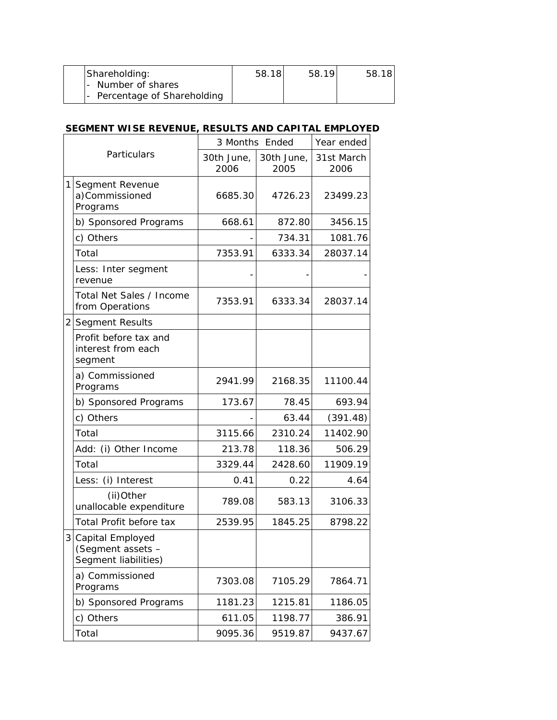| Shareholding:                | 58.18 | 58.19 | 58.18 |
|------------------------------|-------|-------|-------|
| l- Number of shares          |       |       |       |
| - Percentage of Shareholding |       |       |       |

## **SEGMENT WISE REVENUE, RESULTS AND CAPITAL EMPLOYED**

| Particulars |                                                                 | 3 Months Ended     |                    | Year ended         |
|-------------|-----------------------------------------------------------------|--------------------|--------------------|--------------------|
|             |                                                                 | 30th June,<br>2006 | 30th June,<br>2005 | 31st March<br>2006 |
| 11          | Segment Revenue<br>a)Commissioned<br>Programs                   | 6685.30            | 4726.23            | 23499.23           |
|             | b) Sponsored Programs                                           | 668.61             | 872.80             | 3456.15            |
|             | c) Others                                                       |                    | 734.31             | 1081.76            |
|             | Total                                                           | 7353.91            | 6333.34            | 28037.14           |
|             | Less: Inter segment<br>revenue                                  |                    |                    |                    |
|             | Total Net Sales / Income<br>from Operations                     | 7353.91            | 6333.34            | 28037.14           |
|             | 2 Segment Results                                               |                    |                    |                    |
|             | Profit before tax and<br>interest from each<br>segment          |                    |                    |                    |
|             | a) Commissioned<br>Programs                                     | 2941.99            | 2168.35            | 11100.44           |
|             | b) Sponsored Programs                                           | 173.67             | 78.45              | 693.94             |
|             | c) Others                                                       |                    | 63.44              | (391.48)           |
|             | Total                                                           | 3115.66            | 2310.24            | 11402.90           |
|             | Add: (i) Other Income                                           | 213.78             | 118.36             | 506.29             |
|             | Total                                                           | 3329.44            | 2428.60            | 11909.19           |
|             | Less: (i) Interest                                              | 0.41               | 0.22               | 4.64               |
|             | (ii)Other<br>unallocable expenditure                            | 789.08             | 583.13             | 3106.33            |
|             | Total Profit before tax                                         | 2539.95            | 1845.25            | 8798.22            |
|             | 3 Capital Employed<br>(Segment assets -<br>Segment liabilities) |                    |                    |                    |
|             | a) Commissioned<br>Programs                                     | 7303.08            | 7105.29            | 7864.71            |
|             | b) Sponsored Programs                                           | 1181.23            | 1215.81            | 1186.05            |
|             | c) Others                                                       | 611.05             | 1198.77            | 386.91             |
|             | Total                                                           | 9095.36            | 9519.87            | 9437.67            |